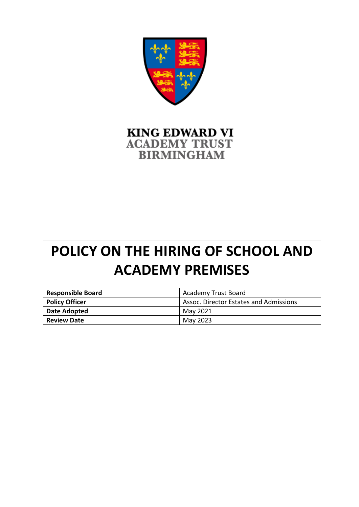

## **KING EDWARD VI ACADEMY TRUST BIRMINGHAM**

# **POLICY ON THE HIRING OF SCHOOL AND ACADEMY PREMISES**

| <b>Responsible Board</b> | <b>Academy Trust Board</b>             |
|--------------------------|----------------------------------------|
| <b>Policy Officer</b>    | Assoc. Director Estates and Admissions |
| Date Adopted             | May 2021                               |
| <b>Review Date</b>       | May 2023                               |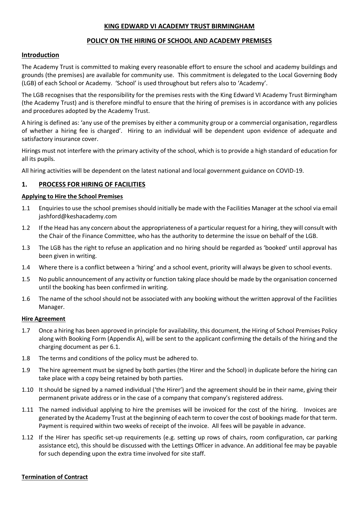#### **KING EDWARD VI ACADEMY TRUST BIRMINGHAM**

#### **POLICY ON THE HIRING OF SCHOOL AND ACADEMY PREMISES**

#### **Introduction**

The Academy Trust is committed to making every reasonable effort to ensure the school and academy buildings and grounds (the premises) are available for community use. This commitment is delegated to the Local Governing Body (LGB) of each School or Academy. 'School' is used throughout but refers also to 'Academy'.

The LGB recognises that the responsibility for the premises rests with the King Edward VI Academy Trust Birmingham (the Academy Trust) and is therefore mindful to ensure that the hiring of premises is in accordance with any policies and procedures adopted by the Academy Trust.

A hiring is defined as: 'any use of the premises by either a community group or a commercial organisation, regardless of whether a hiring fee is charged'. Hiring to an individual will be dependent upon evidence of adequate and satisfactory insurance cover.

Hirings must not interfere with the primary activity of the school, which is to provide a high standard of education for all its pupils.

All hiring activities will be dependent on the latest national and local government guidance on COVID-19.

#### **1. PROCESS FOR HIRING OF FACILITIES**

#### **Applying to Hire the School Premises**

- 1.1 Enquiries to use the school premises should initially be made with the Facilities Manager at the school via email jashford@keshacademy.com
- 1.2 If the Head has any concern about the appropriateness of a particular request for a hiring, they will consult with the Chair of the Finance Committee, who has the authority to determine the issue on behalf of the LGB.
- 1.3 The LGB has the right to refuse an application and no hiring should be regarded as 'booked' until approval has been given in writing.
- 1.4 Where there is a conflict between a 'hiring' and a school event, priority will always be given to school events.
- 1.5 No public announcement of any activity or function taking place should be made by the organisation concerned until the booking has been confirmed in writing.
- 1.6 The name of the school should not be associated with any booking without the written approval of the Facilities Manager.

#### **Hire Agreement**

- 1.7 Once a hiring has been approved in principle for availability, this document, the Hiring of School Premises Policy along with Booking Form (Appendix A), will be sent to the applicant confirming the details of the hiring and the charging document as per 6.1.
- 1.8 The terms and conditions of the policy must be adhered to.
- 1.9 The hire agreement must be signed by both parties (the Hirer and the School) in duplicate before the hiring can take place with a copy being retained by both parties.
- 1.10 It should be signed by a named individual ('the Hirer') and the agreement should be in their name, giving their permanent private address or in the case of a company that company's registered address.
- 1.11 The named individual applying to hire the premises will be invoiced for the cost of the hiring. Invoices are generated by the Academy Trust at the beginning of each term to cover the cost of bookings made for that term. Payment is required within two weeks of receipt of the invoice. All fees will be payable in advance.
- 1.12 If the Hirer has specific set-up requirements (e.g. setting up rows of chairs, room configuration, car parking assistance etc), this should be discussed with the Lettings Officer in advance. An additional fee may be payable for such depending upon the extra time involved for site staff.

#### **Termination of Contract**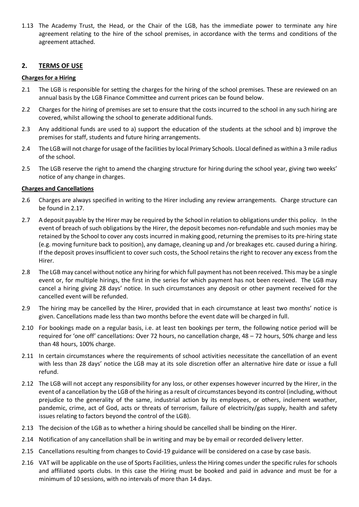1.13 The Academy Trust, the Head, or the Chair of the LGB, has the immediate power to terminate any hire agreement relating to the hire of the school premises, in accordance with the terms and conditions of the agreement attached.

#### **2. TERMS OF USE**

#### **Charges for a Hiring**

- 2.1 The LGB is responsible for setting the charges for the hiring of the school premises. These are reviewed on an annual basis by the LGB Finance Committee and current prices can be found below.
- 2.2 Charges for the hiring of premises are set to ensure that the costs incurred to the school in any such hiring are covered, whilst allowing the school to generate additional funds.
- 2.3 Any additional funds are used to a) support the education of the students at the school and b) improve the premises for staff, students and future hiring arrangements.
- 2.4 The LGB will not charge for usage of the facilities by local Primary Schools. Llocal defined as within a 3 mile radius of the school.
- 2.5 The LGB reserve the right to amend the charging structure for hiring during the school year, giving two weeks' notice of any change in charges.

#### **Charges and Cancellations**

- 2.6 Charges are always specified in writing to the Hirer including any review arrangements. Charge structure can be found in 2.17.
- 2.7 A deposit payable by the Hirer may be required by the School in relation to obligations under this policy. In the event of breach of such obligations by the Hirer, the deposit becomes non-refundable and such monies may be retained by the School to cover any costs incurred in making good, returning the premises to its pre-hiring state (e.g. moving furniture back to position), any damage, cleaning up and /or breakages etc. caused during a hiring. If the deposit proves insufficient to cover such costs, the School retains the right to recover any excess from the Hirer.
- 2.8 The LGB may cancel without notice any hiring for which full payment has not been received. This may be a single event or, for multiple hirings, the first in the series for which payment has not been received. The LGB may cancel a hiring giving 28 days' notice. In such circumstances any deposit or other payment received for the cancelled event will be refunded.
- 2.9 The hiring may be cancelled by the Hirer, provided that in each circumstance at least two months' notice is given. Cancellations made less than two months before the event date will be charged in full.
- 2.10 For bookings made on a regular basis, i.e. at least ten bookings per term, the following notice period will be required for 'one off' cancellations: Over 72 hours, no cancellation charge, 48 – 72 hours, 50% charge and less than 48 hours, 100% charge.
- 2.11 In certain circumstances where the requirements of school activities necessitate the cancellation of an event with less than 28 days' notice the LGB may at its sole discretion offer an alternative hire date or issue a full refund.
- 2.12 The LGB will not accept any responsibility for any loss, or other expenses however incurred by the Hirer, in the event of a cancellation by the LGB of the hiring as a result of circumstances beyond its control (including, without prejudice to the generality of the same, industrial action by its employees, or others, inclement weather, pandemic, crime, act of God, acts or threats of terrorism, failure of electricity/gas supply, health and safety issues relating to factors beyond the control of the LGB).
- 2.13 The decision of the LGB as to whether a hiring should be cancelled shall be binding on the Hirer.
- 2.14 Notification of any cancellation shall be in writing and may be by email or recorded delivery letter.
- 2.15 Cancellations resulting from changes to Covid-19 guidance will be considered on a case by case basis.
- 2.16 VAT will be applicable on the use of Sports Facilities, unless the Hiring comes under the specific rules for schools and affiliated sports clubs. In this case the Hiring must be booked and paid in advance and must be for a minimum of 10 sessions, with no intervals of more than 14 days.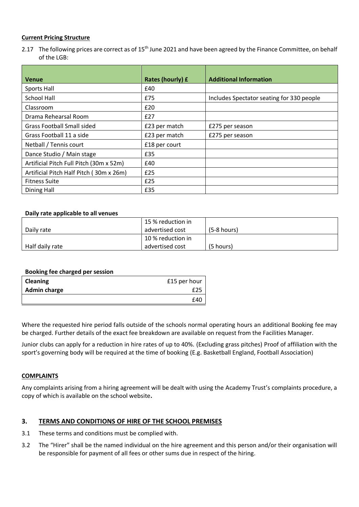#### **Current Pricing Structure**

2.17 The following prices are correct as of 15<sup>th</sup> June 2021 and have been agreed by the Finance Committee, on behalf of the LGB:

| <b>Venue</b>                            | Rates (hourly) £ | <b>Additional Information</b>             |
|-----------------------------------------|------------------|-------------------------------------------|
| <b>Sports Hall</b>                      | £40              |                                           |
| School Hall                             | £75              | Includes Spectator seating for 330 people |
| Classroom                               | £20              |                                           |
| Drama Rehearsal Room                    | £27              |                                           |
| <b>Grass Football Small sided</b>       | £23 per match    | £275 per season                           |
| Grass Football 11 a side                | £23 per match    | £275 per season                           |
| Netball / Tennis court                  | £18 per court    |                                           |
| Dance Studio / Main stage               | £35              |                                           |
| Artificial Pitch Full Pitch (30m x 52m) | £40              |                                           |
| Artificial Pitch Half Pitch (30m x 26m) | £25              |                                           |
| <b>Fitness Suite</b>                    | £25              |                                           |
| Dining Hall                             | £35              |                                           |

#### **Daily rate applicable to all venues**

|                 | 15 % reduction in |               |
|-----------------|-------------------|---------------|
| Daily rate      | advertised cost   | $(5-8 hours)$ |
|                 | 10 % reduction in |               |
| Half daily rate | advertised cost   | (5 hours)     |

#### **Booking fee charged per session**

| <b>Cleaning</b>     | £15 per hour |
|---------------------|--------------|
| <b>Admin charge</b> | £25          |
|                     | £40          |

Where the requested hire period falls outside of the schools normal operating hours an additional Booking fee may be charged. Further details of the exact fee breakdown are available on request from the Facilities Manager.

Junior clubs can apply for a reduction in hire rates of up to 40%. (Excluding grass pitches) Proof of affiliation with the sport's governing body will be required at the time of booking (E.g. Basketball England, Football Association)

#### **COMPLAINTS**

Any complaints arising from a hiring agreement will be dealt with using the Academy Trust's complaints procedure, a copy of which is available on the school website**.**

#### **3. TERMS AND CONDITIONS OF HIRE OF THE SCHOOL PREMISES**

- 3.1 These terms and conditions must be complied with.
- 3.2 The "Hirer" shall be the named individual on the hire agreement and this person and/or their organisation will be responsible for payment of all fees or other sums due in respect of the hiring.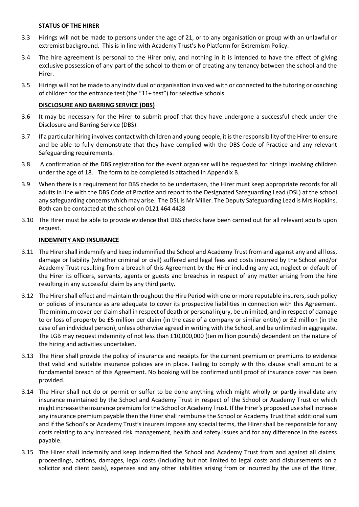#### **STATUS OF THE HIRER**

- 3.3 Hirings will not be made to persons under the age of 21, or to any organisation or group with an unlawful or extremist background. This is in line with Academy Trust's No Platform for Extremism Policy.
- 3.4 The hire agreement is personal to the Hirer only, and nothing in it is intended to have the effect of giving exclusive possession of any part of the school to them or of creating any tenancy between the school and the Hirer.
- 3.5 Hirings will not be made to any individual or organisation involved with or connected to the tutoring or coaching of children for the entrance test (the "11+ test") for selective schools.

#### **DISCLOSURE AND BARRING SERVICE (DBS)**

- 3.6 It may be necessary for the Hirer to submit proof that they have undergone a successful check under the Disclosure and Barring Service (DBS).
- 3.7 If a particular hiring involves contact with children and young people, it is the responsibility of the Hirer to ensure and be able to fully demonstrate that they have complied with the DBS Code of Practice and any relevant Safeguarding requirements.
- 3.8 A confirmation of the DBS registration for the event organiser will be requested for hirings involving children under the age of 18. The form to be completed is attached in Appendix B.
- 3.9 When there is a requirement for DBS checks to be undertaken, the Hirer must keep appropriate records for all adults in line with the DBS Code of Practice and report to the Designated Safeguarding Lead (DSL) at the school any safeguarding concerns which may arise. The DSL is Mr Miller. The Deputy Safeguarding Lead is Mrs Hopkins. Both can be contacted at the school on 0121 464 4428
- 3.10 The Hirer must be able to provide evidence that DBS checks have been carried out for all relevant adults upon request.

#### **INDEMNITY AND INSURANCE**

- 3.11 The Hirer shall indemnify and keep indemnified the School and Academy Trust from and against any and all loss, damage or liability (whether criminal or civil) suffered and legal fees and costs incurred by the School and/or Academy Trust resulting from a breach of this Agreement by the Hirer including any act, neglect or default of the Hirer its officers, servants, agents or guests and breaches in respect of any matter arising from the hire resulting in any successful claim by any third party.
- 3.12 The Hirer shall effect and maintain throughout the Hire Period with one or more reputable insurers, such policy or policies of insurance as are adequate to cover its prospective liabilities in connection with this Agreement. The minimum cover per claim shall in respect of death or personal injury, be unlimited, and in respect of damage to or loss of property be £5 million per claim (in the case of a company or similar entity) or £2 million (in the case of an individual person), unless otherwise agreed in writing with the School, and be unlimited in aggregate. The LGB may request indemnity of not less than £10,000,000 (ten million pounds) dependent on the nature of the hiring and activities undertaken.
- 3.13 The Hirer shall provide the policy of insurance and receipts for the current premium or premiums to evidence that valid and suitable insurance policies are in place. Failing to comply with this clause shall amount to a fundamental breach of this Agreement. No booking will be confirmed until proof of insurance cover has been provided.
- 3.14 The Hirer shall not do or permit or suffer to be done anything which might wholly or partly invalidate any insurance maintained by the School and Academy Trust in respect of the School or Academy Trust or which might increase the insurance premium for the School or Academy Trust. If the Hirer's proposed use shall increase any insurance premium payable then the Hirer shall reimburse the School or Academy Trust that additional sum and if the School's or Academy Trust's insurers impose any special terms, the Hirer shall be responsible for any costs relating to any increased risk management, health and safety issues and for any difference in the excess payable.
- 3.15 The Hirer shall indemnify and keep indemnified the School and Academy Trust from and against all claims, proceedings, actions, damages, legal costs (including but not limited to legal costs and disbursements on a solicitor and client basis), expenses and any other liabilities arising from or incurred by the use of the Hirer,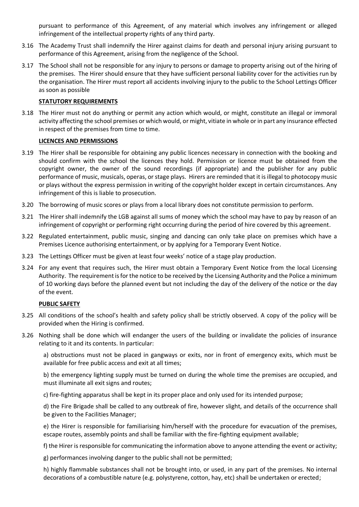pursuant to performance of this Agreement, of any material which involves any infringement or alleged infringement of the intellectual property rights of any third party.

- 3.16 The Academy Trust shall indemnify the Hirer against claims for death and personal injury arising pursuant to performance of this Agreement, arising from the negligence of the School.
- 3.17 The School shall not be responsible for any injury to persons or damage to property arising out of the hiring of the premises. The Hirer should ensure that they have sufficient personal liability cover for the activities run by the organisation. The Hirer must report all accidents involving injury to the public to the School Lettings Officer as soon as possible

#### **STATUTORY REQUIREMENTS**

3.18 The Hirer must not do anything or permit any action which would, or might, constitute an illegal or immoral activity affecting the school premises or which would, or might, vitiate in whole or in part any insurance effected in respect of the premises from time to time.

#### **LICENCES AND PERMISSIONS**

- 3.19 The Hirer shall be responsible for obtaining any public licences necessary in connection with the booking and should confirm with the school the licences they hold. Permission or licence must be obtained from the copyright owner, the owner of the sound recordings (if appropriate) and the publisher for any public performance of music, musicals, operas, or stage plays. Hirers are reminded that it is illegal to photocopy music or plays without the express permission in writing of the copyright holder except in certain circumstances. Any infringement of this is liable to prosecution.
- 3.20 The borrowing of music scores or plays from a local library does not constitute permission to perform.
- 3.21 The Hirer shall indemnify the LGB against all sums of money which the school may have to pay by reason of an infringement of copyright or performing right occurring during the period of hire covered by this agreement.
- 3.22 Regulated entertainment, public music, singing and dancing can only take place on premises which have a Premises Licence authorising entertainment, or by applying for a Temporary Event Notice.
- 3.23 The Lettings Officer must be given at least four weeks' notice of a stage play production.
- 3.24 For any event that requires such, the Hirer must obtain a Temporary Event Notice from the local Licensing Authority. The requirement is for the notice to be received by the Licensing Authority and the Police a minimum of 10 working days before the planned event but not including the day of the delivery of the notice or the day of the event.

#### **PUBLIC SAFETY**

- 3.25 All conditions of the school's health and safety policy shall be strictly observed. A copy of the policy will be provided when the Hiring is confirmed.
- 3.26 Nothing shall be done which will endanger the users of the building or invalidate the policies of insurance relating to it and its contents. In particular:

a) obstructions must not be placed in gangways or exits, nor in front of emergency exits, which must be available for free public access and exit at all times;

b) the emergency lighting supply must be turned on during the whole time the premises are occupied, and must illuminate all exit signs and routes;

c) fire-fighting apparatus shall be kept in its proper place and only used for its intended purpose;

d) the Fire Brigade shall be called to any outbreak of fire, however slight, and details of the occurrence shall be given to the Facilities Manager;

e) the Hirer is responsible for familiarising him/herself with the procedure for evacuation of the premises, escape routes, assembly points and shall be familiar with the fire-fighting equipment available;

f) the Hirer is responsible for communicating the information above to anyone attending the event or activity;

g) performances involving danger to the public shall not be permitted;

h) highly flammable substances shall not be brought into, or used, in any part of the premises. No internal decorations of a combustible nature (e.g. polystyrene, cotton, hay, etc) shall be undertaken or erected;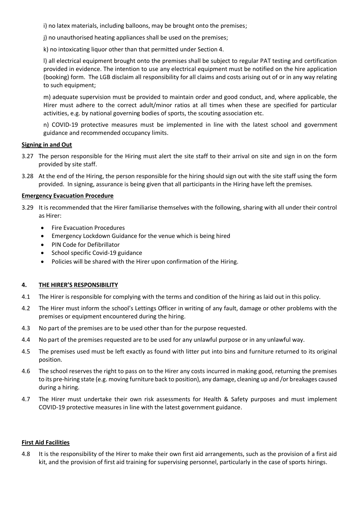i) no latex materials, including balloons, may be brought onto the premises;

j) no unauthorised heating appliances shall be used on the premises;

k) no intoxicating liquor other than that permitted under Section 4.

l) all electrical equipment brought onto the premises shall be subject to regular PAT testing and certification provided in evidence. The intention to use any electrical equipment must be notified on the hire application (booking) form. The LGB disclaim all responsibility for all claims and costs arising out of or in any way relating to such equipment;

m) adequate supervision must be provided to maintain order and good conduct, and, where applicable, the Hirer must adhere to the correct adult/minor ratios at all times when these are specified for particular activities, e.g. by national governing bodies of sports, the scouting association etc.

n) COVID-19 protective measures must be implemented in line with the latest school and government guidance and recommended occupancy limits.

#### **Signing in and Out**

- 3.27 The person responsible for the Hiring must alert the site staff to their arrival on site and sign in on the form provided by site staff.
- 3.28 At the end of the Hiring, the person responsible for the hiring should sign out with the site staff using the form provided. In signing, assurance is being given that all participants in the Hiring have left the premises.

#### **Emergency Evacuation Procedure**

- 3.29 It is recommended that the Hirer familiarise themselves with the following, sharing with all under their control as Hirer:
	- Fire Evacuation Procedures
	- Emergency Lockdown Guidance for the venue which is being hired
	- PIN Code for Defibrillator
	- School specific Covid-19 guidance
	- Policies will be shared with the Hirer upon confirmation of the Hiring.

#### **4. THE HIRER'S RESPONSIBILITY**

- 4.1 The Hirer is responsible for complying with the terms and condition of the hiring as laid out in this policy.
- 4.2 The Hirer must inform the school's Lettings Officer in writing of any fault, damage or other problems with the premises or equipment encountered during the hiring.
- 4.3 No part of the premises are to be used other than for the purpose requested.
- 4.4 No part of the premises requested are to be used for any unlawful purpose or in any unlawful way.
- 4.5 The premises used must be left exactly as found with litter put into bins and furniture returned to its original position.
- 4.6 The school reserves the right to pass on to the Hirer any costs incurred in making good, returning the premises to its pre-hiring state (e.g. moving furniture back to position), any damage, cleaning up and /or breakages caused during a hiring.
- 4.7 The Hirer must undertake their own risk assessments for Health & Safety purposes and must implement COVID-19 protective measures in line with the latest government guidance.

#### **First Aid Facilities**

4.8 It is the responsibility of the Hirer to make their own first aid arrangements, such as the provision of a first aid kit, and the provision of first aid training for supervising personnel, particularly in the case of sports hirings.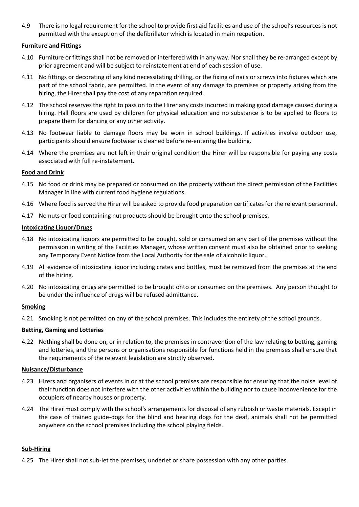4.9 There is no legal requirement for the school to provide first aid facilities and use of the school's resources is not permitted with the exception of the defibrillator which is located in main recpetion.

#### **Furniture and Fittings**

- 4.10 Furniture or fittings shall not be removed or interfered with in any way. Nor shall they be re-arranged except by prior agreement and will be subject to reinstatement at end of each session of use.
- 4.11 No fittings or decorating of any kind necessitating drilling, or the fixing of nails or screws into fixtures which are part of the school fabric, are permitted. In the event of any damage to premises or property arising from the hiring, the Hirer shall pay the cost of any reparation required.
- 4.12 The school reserves the right to pass on to the Hirer any costs incurred in making good damage caused during a hiring. Hall floors are used by children for physical education and no substance is to be applied to floors to prepare them for dancing or any other activity.
- 4.13 No footwear liable to damage floors may be worn in school buildings. If activities involve outdoor use, participants should ensure footwear is cleaned before re-entering the building.
- 4.14 Where the premises are not left in their original condition the Hirer will be responsible for paying any costs associated with full re-instatement.

#### **Food and Drink**

- 4.15 No food or drink may be prepared or consumed on the property without the direct permission of the Facilities Manager in line with current food hygiene regulations.
- 4.16 Where food is served the Hirer will be asked to provide food preparation certificates for the relevant personnel.
- 4.17 No nuts or food containing nut products should be brought onto the school premises.

#### **Intoxicating Liquor/Drugs**

- 4.18 No intoxicating liquors are permitted to be bought, sold or consumed on any part of the premises without the permission in writing of the Facilities Manager, whose written consent must also be obtained prior to seeking any Temporary Event Notice from the Local Authority for the sale of alcoholic liquor.
- 4.19 All evidence of intoxicating liquor including crates and bottles, must be removed from the premises at the end of the hiring.
- 4.20 No intoxicating drugs are permitted to be brought onto or consumed on the premises. Any person thought to be under the influence of drugs will be refused admittance.

#### **Smoking**

4.21 Smoking is not permitted on any of the school premises. This includes the entirety of the school grounds.

#### **Betting, Gaming and Lotteries**

4.22 Nothing shall be done on, or in relation to, the premises in contravention of the law relating to betting, gaming and lotteries, and the persons or organisations responsible for functions held in the premises shall ensure that the requirements of the relevant legislation are strictly observed.

#### **Nuisance/Disturbance**

- 4.23 Hirers and organisers of events in or at the school premises are responsible for ensuring that the noise level of their function does not interfere with the other activities within the building nor to cause inconvenience for the occupiers of nearby houses or property.
- 4.24 The Hirer must comply with the school's arrangements for disposal of any rubbish or waste materials. Except in the case of trained guide-dogs for the blind and hearing dogs for the deaf, animals shall not be permitted anywhere on the school premises including the school playing fields.

#### **Sub-Hiring**

4.25 The Hirer shall not sub-let the premises, underlet or share possession with any other parties.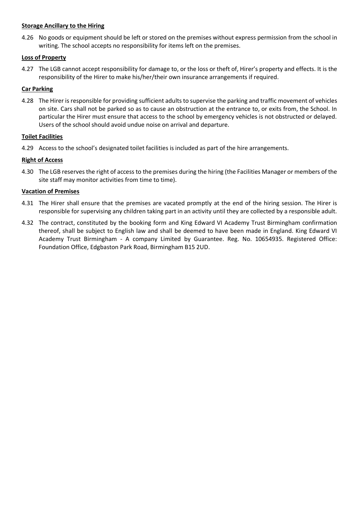#### **Storage Ancillary to the Hiring**

4.26 No goods or equipment should be left or stored on the premises without express permission from the school in writing. The school accepts no responsibility for items left on the premises.

#### **Loss of Property**

4.27 The LGB cannot accept responsibility for damage to, or the loss or theft of, Hirer's property and effects. It is the responsibility of the Hirer to make his/her/their own insurance arrangements if required.

#### **Car Parking**

4.28 The Hirer is responsible for providing sufficient adults to supervise the parking and traffic movement of vehicles on site. Cars shall not be parked so as to cause an obstruction at the entrance to, or exits from, the School. In particular the Hirer must ensure that access to the school by emergency vehicles is not obstructed or delayed. Users of the school should avoid undue noise on arrival and departure.

#### **Toilet Facilities**

4.29 Access to the school's designated toilet facilities is included as part of the hire arrangements.

#### **Right of Access**

4.30 The LGB reserves the right of access to the premises during the hiring (the Facilities Manager or members of the site staff may monitor activities from time to time).

#### **Vacation of Premises**

- 4.31 The Hirer shall ensure that the premises are vacated promptly at the end of the hiring session. The Hirer is responsible for supervising any children taking part in an activity until they are collected by a responsible adult.
- 4.32 The contract, constituted by the booking form and King Edward VI Academy Trust Birmingham confirmation thereof, shall be subject to English law and shall be deemed to have been made in England. King Edward VI Academy Trust Birmingham - A company Limited by Guarantee. Reg. No. 10654935. Registered Office: Foundation Office, Edgbaston Park Road, Birmingham B15 2UD.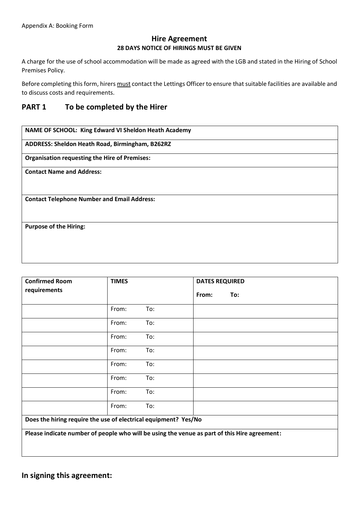### **Hire Agreement 28 DAYS NOTICE OF HIRINGS MUST BE GIVEN**

A charge for the use of school accommodation will be made as agreed with the LGB and stated in the Hiring of School Premises Policy.

Before completing this form, hirers must contact the Lettings Officer to ensure that suitable facilities are available and to discuss costs and requirements.

## **PART 1 To be completed by the Hirer**

**NAME OF SCHOOL: King Edward VI Sheldon Heath Academy** 

**ADDRESS: Sheldon Heath Road, Birmingham, B262RZ**

**Organisation requesting the Hire of Premises:**

**Contact Name and Address:**

**Contact Telephone Number and Email Address:**

**Purpose of the Hiring:**

| <b>Confirmed Room</b>                                                                        | <b>TIMES</b> |     | <b>DATES REQUIRED</b> |     |
|----------------------------------------------------------------------------------------------|--------------|-----|-----------------------|-----|
| requirements                                                                                 |              |     | From:                 | To: |
|                                                                                              | From:        | To: |                       |     |
|                                                                                              | From:        | To: |                       |     |
|                                                                                              | From:        | To: |                       |     |
|                                                                                              | From:        | To: |                       |     |
|                                                                                              | From:        | To: |                       |     |
|                                                                                              | From:        | To: |                       |     |
|                                                                                              | From:        | To: |                       |     |
|                                                                                              | From:        | To: |                       |     |
| Does the hiring require the use of electrical equipment? Yes/No                              |              |     |                       |     |
| Please indicate number of people who will be using the venue as part of this Hire agreement: |              |     |                       |     |

**In signing this agreement:**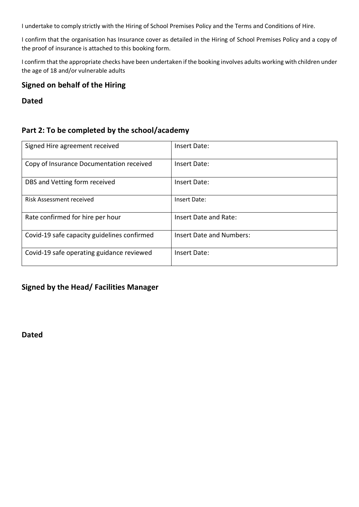I undertake to comply strictly with the Hiring of School Premises Policy and the Terms and Conditions of Hire.

I confirm that the organisation has Insurance cover as detailed in the Hiring of School Premises Policy and a copy of the proof of insurance is attached to this booking form.

I confirm that the appropriate checks have been undertaken if the booking involves adults working with children under the age of 18 and/or vulnerable adults

## **Signed on behalf of the Hiring**

**Dated**

## **Part 2: To be completed by the school/academy**

| Signed Hire agreement received              | Insert Date:             |
|---------------------------------------------|--------------------------|
| Copy of Insurance Documentation received    | Insert Date:             |
| DBS and Vetting form received               | Insert Date:             |
| <b>Risk Assessment received</b>             | Insert Date:             |
| Rate confirmed for hire per hour            | Insert Date and Rate:    |
| Covid-19 safe capacity guidelines confirmed | Insert Date and Numbers: |
| Covid-19 safe operating guidance reviewed   | Insert Date:             |

## **Signed by the Head/ Facilities Manager**

**Dated**